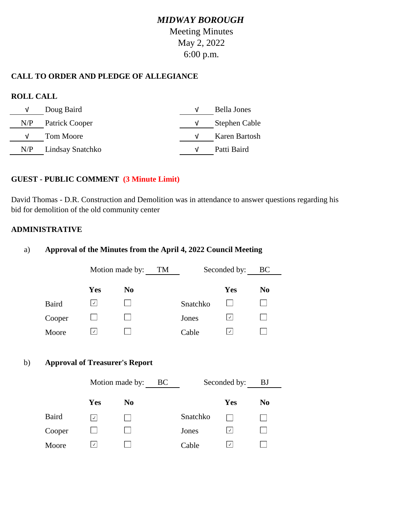## **CALL TO ORDER AND PLEDGE OF ALLEGIANCE**

## **ROLL CALL**

| V   | Doug Baird           | Bella Jones   |
|-----|----------------------|---------------|
|     | $N/P$ Patrick Cooper | Stephen Cable |
| V   | Tom Moore            | Karen Bartosh |
| N/P | Lindsay Snatchko     | Patti Baird   |

## **GUEST - PUBLIC COMMENT (3 Minute Limit)**

David Thomas - D.R. Construction and Demolition was in attendance to answer questions regarding his bid for demolition of the old community center

### **ADMINISTRATIVE**

### a) **Approval of the Minutes from the April 4, 2022 Council Meeting**

|    |              |                                       | Motion made by: TM |          | Seconded by:       | BC             |
|----|--------------|---------------------------------------|--------------------|----------|--------------------|----------------|
|    |              | <b>Yes</b>                            | N <sub>0</sub>     |          | <b>Yes</b>         | N <sub>0</sub> |
|    | Baird        | ⊻                                     |                    | Snatchko |                    |                |
|    | Cooper       | $\mathbb{R}^n$                        |                    | Jones    | ⊻                  |                |
|    | Moore        | ⊻                                     |                    | Cable    | ⊻                  |                |
| b) |              |                                       |                    |          |                    |                |
|    |              | <b>Approval of Treasurer's Report</b> |                    |          |                    |                |
|    |              | Motion made by: BC                    |                    |          | Seconded by:       | <b>B</b> J     |
|    |              | <b>Yes</b>                            | N <sub>0</sub>     |          | <b>Yes</b>         | N <sub>0</sub> |
|    | <b>Baird</b> | $\boxed{\checkmark}$                  |                    | Snatchko |                    |                |
|    | Cooper       | $\mathbf{I}$                          |                    | Jones    | ⊻                  |                |
|    | Moore        | $\vert$ $\vee$                        |                    | Cable    | $\lfloor$ . $\vee$ |                |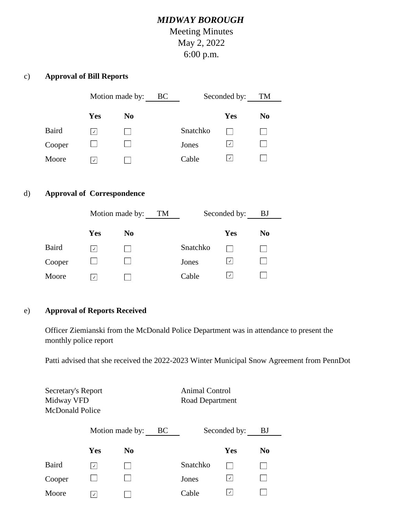## c) **Approval of Bill Reports**

|              | Motion made by:<br>BC |                | Seconded by: |          | TM             |  |
|--------------|-----------------------|----------------|--------------|----------|----------------|--|
|              | Yes                   | N <sub>0</sub> |              | Yes      | N <sub>0</sub> |  |
| <b>Baird</b> | $\checkmark$          |                | Snatchko     |          |                |  |
| Cooper       |                       |                | Jones        | $ \vee $ |                |  |
| Moore        | $\checkmark$          |                | Cable        | $ \vee $ |                |  |

## d) **Approval of Correspondence**

|        | Motion made by: |                | TM |          | Seconded by:  | <b>BJ</b>      |  |
|--------|-----------------|----------------|----|----------|---------------|----------------|--|
|        | Yes             | N <sub>0</sub> |    |          | Yes           | N <sub>0</sub> |  |
| Baird  | $\checkmark$    |                |    | Snatchko |               |                |  |
| Cooper |                 |                |    | Jones    | $ \vee $      |                |  |
| Moore  | $\sqrt{ }$      |                |    | Cable    | $\mathcal{A}$ |                |  |

#### e) **Approval of Reports Received**

Officer Ziemianski from the McDonald Police Department was in attendance to present the monthly police report

Patti advised that she received the 2022-2023 Winter Municipal Snow Agreement from PennDot

Secretary's Report Animal Control Midway VFD Road Department McDonald Police

|        | Motion made by: |                | BC       | Seconded by:             | BJ             |
|--------|-----------------|----------------|----------|--------------------------|----------------|
|        | <b>Yes</b>      | N <sub>0</sub> |          | Yes                      | N <sub>0</sub> |
| Baird  | $\checkmark$    |                | Snatchko |                          |                |
| Cooper |                 |                | Jones    | $ \vee $                 |                |
| Moore  | $\checkmark$    |                | Cable    | $\overline{\mathcal{L}}$ |                |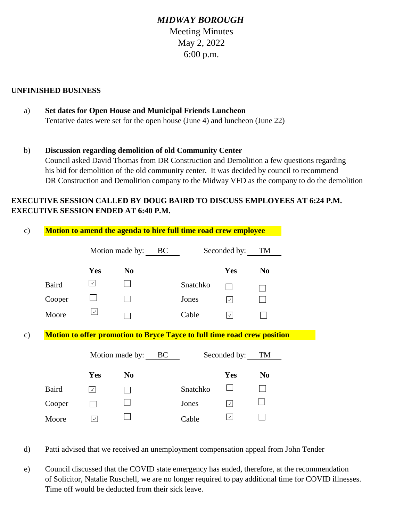#### **UNFINISHED BUSINESS**

- a) **Set dates for Open House and Municipal Friends Luncheon** Tentative dates were set for the open house (June 4) and luncheon (June 22)
- b) **Discussion regarding demolition of old Community Center** Council asked David Thomas from DR Construction and Demolition a few questions regarding his bid for demolition of the old community center. It was decided by council to recommend DR Construction and Demolition company to the Midway VFD as the company to do the demolition

## **EXECUTIVE SESSION CALLED BY DOUG BAIRD TO DISCUSS EMPLOYEES AT 6:24 P.M. EXECUTIVE SESSION ENDED AT 6:40 P.M.**

| Motion to amend the agenda to hire full time road crew employee |                |  |                    |                                          |                                                                                          |  |  |
|-----------------------------------------------------------------|----------------|--|--------------------|------------------------------------------|------------------------------------------------------------------------------------------|--|--|
|                                                                 |                |  | Seconded by:<br>TM |                                          |                                                                                          |  |  |
| <b>Yes</b>                                                      | N <sub>0</sub> |  |                    | Yes                                      | N <sub>0</sub>                                                                           |  |  |
| $\sqrt{2}$                                                      |                |  | Snatchko           |                                          |                                                                                          |  |  |
|                                                                 |                |  | Jones              | $\overline{\mathcal{A}}$                 |                                                                                          |  |  |
| $\sqrt{2}$                                                      |                |  | Cable              | $\sqrt{2}$                               |                                                                                          |  |  |
|                                                                 |                |  |                    |                                          |                                                                                          |  |  |
|                                                                 |                |  |                    |                                          | TM                                                                                       |  |  |
|                                                                 |                |  |                    |                                          |                                                                                          |  |  |
| <b>Yes</b>                                                      | N <sub>0</sub> |  |                    | Yes                                      | N <sub>0</sub>                                                                           |  |  |
| $\vert \vee \vert$                                              |                |  | Snatchko           |                                          |                                                                                          |  |  |
|                                                                 |                |  | Jones              | $\sqrt{ }$                               |                                                                                          |  |  |
|                                                                 |                |  |                    | Motion made by: BC<br>Motion made by: BC | Motion to offer promotion to Bryce Tayce to full time road crew position<br>Seconded by: |  |  |

- d) Patti advised that we received an unemployment compensation appeal from John Tender
- e) Council discussed that the COVID state emergency has ended, therefore, at the recommendation of Solicitor, Natalie Ruschell, we are no longer required to pay additional time for COVID illnesses. Time off would be deducted from their sick leave.